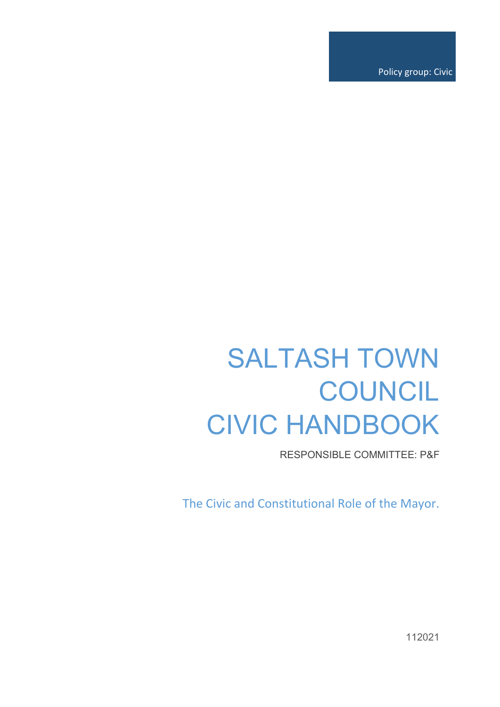Policy group: Civic

# SALTASH TOWN **COUNCIL** CIVIC HANDBOOK

RESPONSIBLE COMMITTEE: P&F

The Civic and Constitutional Role of the Mayor.

112021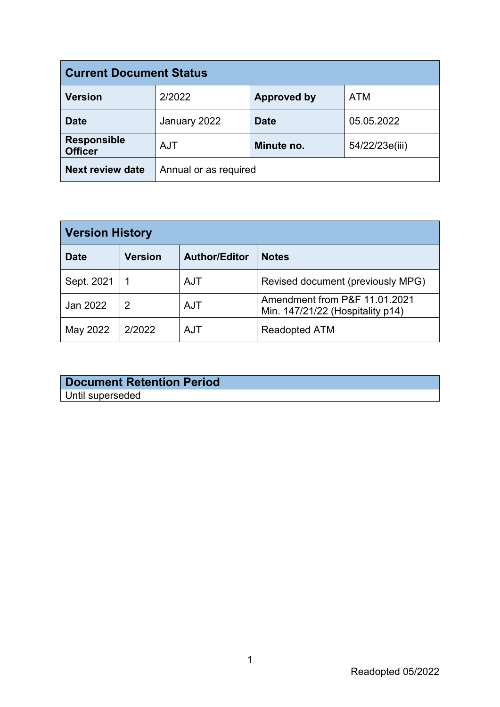| <b>Current Document Status</b>       |                                            |                    |            |
|--------------------------------------|--------------------------------------------|--------------------|------------|
| <b>Version</b>                       | 2/2022                                     | <b>Approved by</b> | <b>ATM</b> |
| <b>Date</b>                          | January 2022                               | <b>Date</b>        | 05.05.2022 |
| <b>Responsible</b><br><b>Officer</b> | Minute no.<br>54/22/23e(iii)<br><b>AJT</b> |                    |            |
| <b>Next review date</b>              | Annual or as required                      |                    |            |

| <b>Version History</b> |                |                      |                                                                   |
|------------------------|----------------|----------------------|-------------------------------------------------------------------|
| <b>Date</b>            | <b>Version</b> | <b>Author/Editor</b> | <b>Notes</b>                                                      |
| Sept. 2021             |                | <b>AJT</b>           | Revised document (previously MPG)                                 |
| Jan 2022               | 2              | <b>AJT</b>           | Amendment from P&F 11.01.2021<br>Min. 147/21/22 (Hospitality p14) |
| May 2022               | 2/2022         | <b>AJT</b>           | <b>Readopted ATM</b>                                              |

| Document Retention Period |
|---------------------------|
| Until superseded          |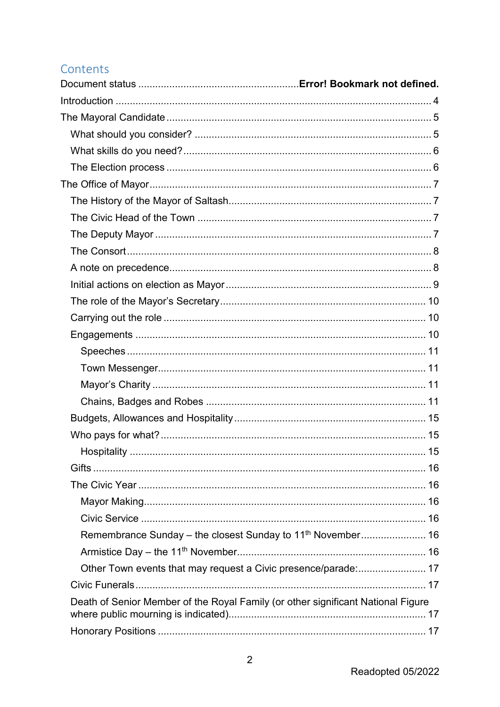# Contents

| Hospitality                                                                      | 15 |
|----------------------------------------------------------------------------------|----|
|                                                                                  |    |
|                                                                                  |    |
|                                                                                  |    |
|                                                                                  |    |
| Remembrance Sunday – the closest Sunday to 11 <sup>th</sup> November 16          |    |
|                                                                                  |    |
| Other Town events that may request a Civic presence/parade: 17                   |    |
|                                                                                  |    |
| Death of Senior Member of the Royal Family (or other significant National Figure |    |
|                                                                                  |    |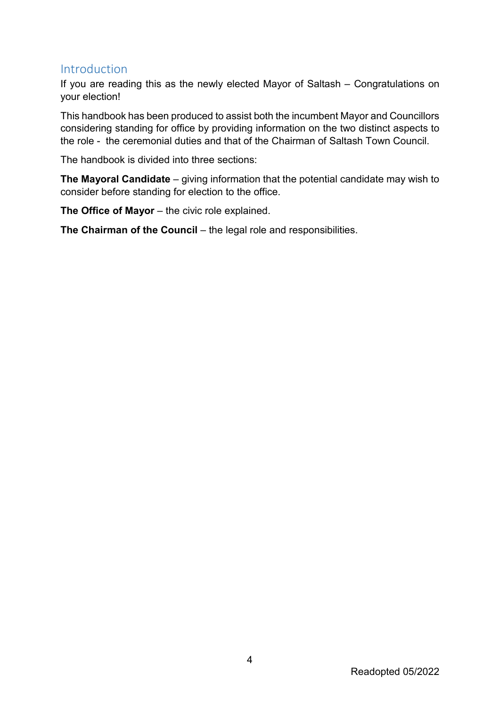# <span id="page-4-0"></span>Introduction

If you are reading this as the newly elected Mayor of Saltash – Congratulations on your election!

This handbook has been produced to assist both the incumbent Mayor and Councillors considering standing for office by providing information on the two distinct aspects to the role - the ceremonial duties and that of the Chairman of Saltash Town Council.

The handbook is divided into three sections:

**The Mayoral Candidate** – giving information that the potential candidate may wish to consider before standing for election to the office.

**The Office of Mayor** – the civic role explained.

**The Chairman of the Council** – the legal role and responsibilities.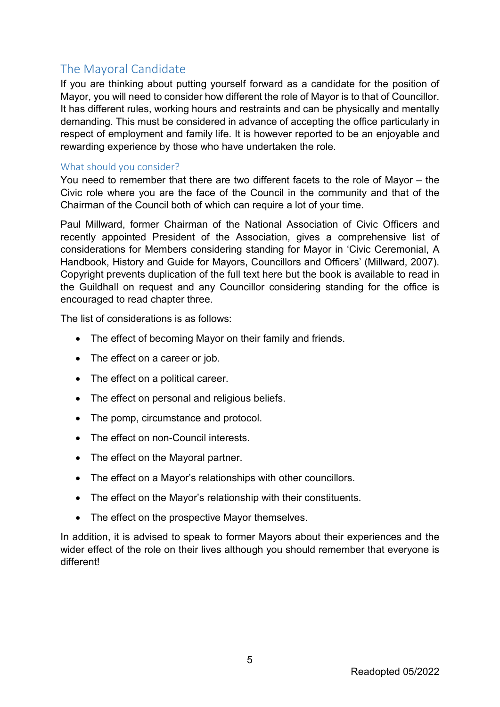# <span id="page-5-0"></span>The Mayoral Candidate

If you are thinking about putting yourself forward as a candidate for the position of Mayor, you will need to consider how different the role of Mayor is to that of Councillor. It has different rules, working hours and restraints and can be physically and mentally demanding. This must be considered in advance of accepting the office particularly in respect of employment and family life. It is however reported to be an enjoyable and rewarding experience by those who have undertaken the role.

#### <span id="page-5-1"></span>What should you consider?

You need to remember that there are two different facets to the role of Mayor – the Civic role where you are the face of the Council in the community and that of the Chairman of the Council both of which can require a lot of your time.

Paul Millward, former Chairman of the National Association of Civic Officers and recently appointed President of the Association, gives a comprehensive list of considerations for Members considering standing for Mayor in 'Civic Ceremonial, A Handbook, History and Guide for Mayors, Councillors and Officers' (Millward, 2007). Copyright prevents duplication of the full text here but the book is available to read in the Guildhall on request and any Councillor considering standing for the office is encouraged to read chapter three.

The list of considerations is as follows:

- The effect of becoming Mayor on their family and friends.
- The effect on a career or job.
- The effect on a political career.
- The effect on personal and religious beliefs.
- The pomp, circumstance and protocol.
- The effect on non-Council interests
- The effect on the Mayoral partner.
- The effect on a Mayor's relationships with other councillors.
- The effect on the Mayor's relationship with their constituents.
- The effect on the prospective Mayor themselves.

In addition, it is advised to speak to former Mayors about their experiences and the wider effect of the role on their lives although you should remember that everyone is different!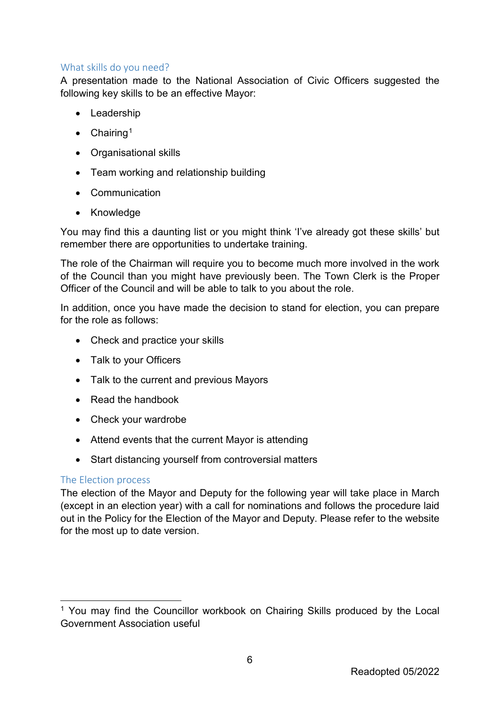#### <span id="page-6-0"></span>What skills do you need?

A presentation made to the National Association of Civic Officers suggested the following key skills to be an effective Mayor:

- Leadership
- $\bullet$  Chairing<sup>[1](#page-6-2)</sup>
- Organisational skills
- Team working and relationship building
- Communication
- Knowledge

You may find this a daunting list or you might think 'I've already got these skills' but remember there are opportunities to undertake training.

The role of the Chairman will require you to become much more involved in the work of the Council than you might have previously been. The Town Clerk is the Proper Officer of the Council and will be able to talk to you about the role.

In addition, once you have made the decision to stand for election, you can prepare for the role as follows:

- Check and practice your skills
- Talk to your Officers
- Talk to the current and previous Mayors
- Read the handbook
- Check your wardrobe
- Attend events that the current Mayor is attending
- Start distancing yourself from controversial matters

#### <span id="page-6-1"></span>The Election process

The election of the Mayor and Deputy for the following year will take place in March (except in an election year) with a call for nominations and follows the procedure laid out in the Policy for the Election of the Mayor and Deputy. Please refer to the website for the most up to date version.

<span id="page-6-2"></span><sup>&</sup>lt;sup>1</sup> You may find the Councillor workbook on Chairing Skills produced by the Local Government Association useful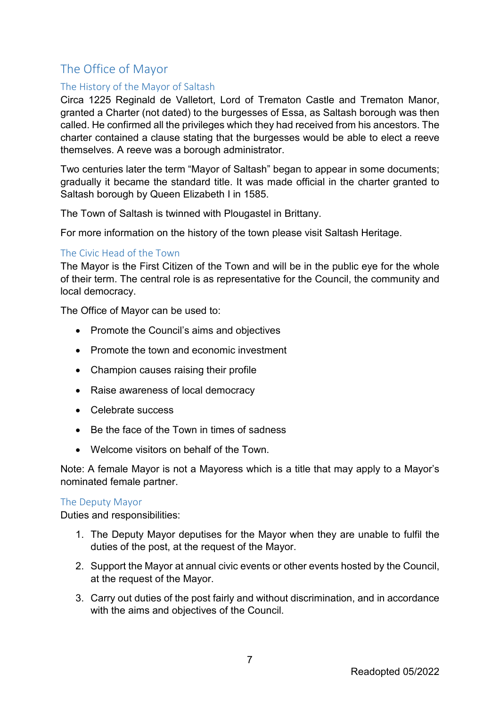# <span id="page-7-0"></span>The Office of Mayor

## <span id="page-7-1"></span>The History of the Mayor of Saltash

Circa 1225 Reginald de Valletort, Lord of Trematon Castle and Trematon Manor, granted a Charter (not dated) to the burgesses of Essa, as Saltash borough was then called. He confirmed all the privileges which they had received from his ancestors. The charter contained a clause stating that the burgesses would be able to elect a reeve themselves. A reeve was a borough administrator.

Two centuries later the term "Mayor of Saltash" began to appear in some documents; gradually it became the standard title. It was made official in the charter granted to Saltash borough by Queen Elizabeth I in 1585.

The Town of Saltash is twinned with Plougastel in Brittany.

For more information on the history of the town please visit Saltash Heritage.

#### <span id="page-7-2"></span>The Civic Head of the Town

The Mayor is the First Citizen of the Town and will be in the public eye for the whole of their term. The central role is as representative for the Council, the community and local democracy.

The Office of Mayor can be used to:

- Promote the Council's aims and objectives
- Promote the town and economic investment
- Champion causes raising their profile
- Raise awareness of local democracy
- Celebrate success
- Be the face of the Town in times of sadness
- Welcome visitors on behalf of the Town

Note: A female Mayor is not a Mayoress which is a title that may apply to a Mayor's nominated female partner.

#### <span id="page-7-3"></span>The Deputy Mayor

Duties and responsibilities:

- 1. The Deputy Mayor deputises for the Mayor when they are unable to fulfil the duties of the post, at the request of the Mayor.
- 2. Support the Mayor at annual civic events or other events hosted by the Council, at the request of the Mayor.
- 3. Carry out duties of the post fairly and without discrimination, and in accordance with the aims and objectives of the Council.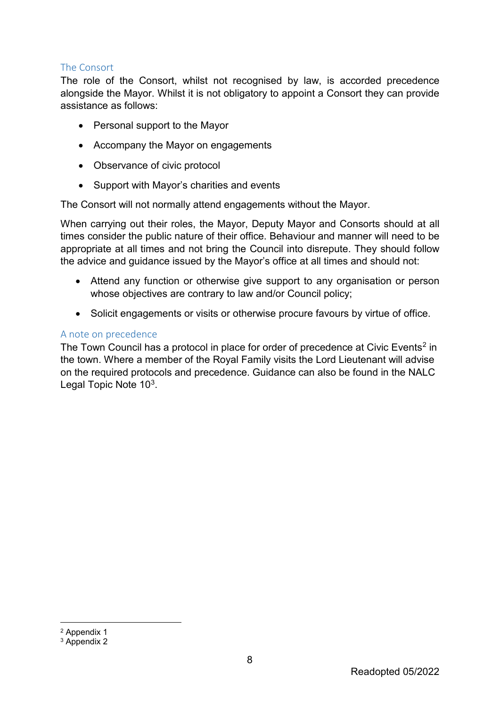#### <span id="page-8-0"></span>The Consort

The role of the Consort, whilst not recognised by law, is accorded precedence alongside the Mayor. Whilst it is not obligatory to appoint a Consort they can provide assistance as follows:

- Personal support to the Mayor
- Accompany the Mayor on engagements
- Observance of civic protocol
- Support with Mayor's charities and events

The Consort will not normally attend engagements without the Mayor.

When carrying out their roles, the Mayor, Deputy Mayor and Consorts should at all times consider the public nature of their office. Behaviour and manner will need to be appropriate at all times and not bring the Council into disrepute. They should follow the advice and guidance issued by the Mayor's office at all times and should not:

- Attend any function or otherwise give support to any organisation or person whose objectives are contrary to law and/or Council policy;
- Solicit engagements or visits or otherwise procure favours by virtue of office.

#### <span id="page-8-1"></span>A note on precedence

The Town Council has a protocol in place for order of precedence at Civic Events<sup>[2](#page-8-2)</sup> in the town. Where a member of the Royal Family visits the Lord Lieutenant will advise on the required protocols and precedence. Guidance can also be found in the NALC Legal Topic Note 10[3](#page-8-3).

<span id="page-8-2"></span> <sup>2</sup> Appendix 1

<span id="page-8-3"></span><sup>&</sup>lt;sup>3</sup> Appendix 2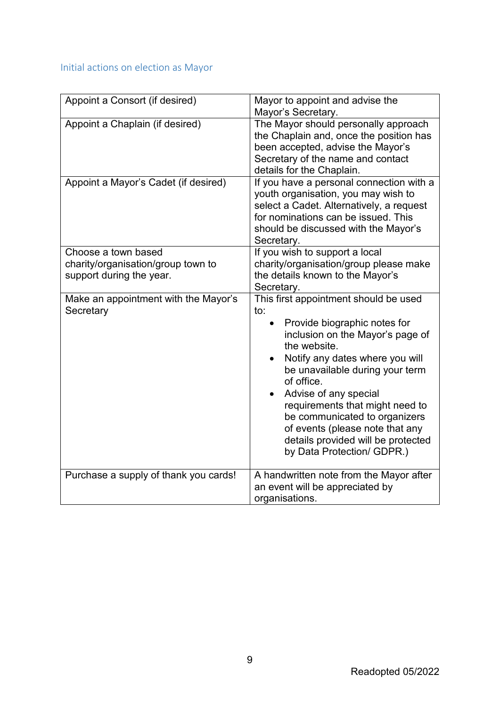# <span id="page-9-0"></span>Initial actions on election as Mayor

| Appoint a Consort (if desired)                                                        | Mayor to appoint and advise the<br>Mayor's Secretary.                                                                                                                                                                                                                                                                                                                                                                    |  |
|---------------------------------------------------------------------------------------|--------------------------------------------------------------------------------------------------------------------------------------------------------------------------------------------------------------------------------------------------------------------------------------------------------------------------------------------------------------------------------------------------------------------------|--|
| Appoint a Chaplain (if desired)                                                       | The Mayor should personally approach<br>the Chaplain and, once the position has<br>been accepted, advise the Mayor's<br>Secretary of the name and contact<br>details for the Chaplain.                                                                                                                                                                                                                                   |  |
| Appoint a Mayor's Cadet (if desired)                                                  | If you have a personal connection with a<br>youth organisation, you may wish to<br>select a Cadet. Alternatively, a request<br>for nominations can be issued. This<br>should be discussed with the Mayor's<br>Secretary.                                                                                                                                                                                                 |  |
| Choose a town based<br>charity/organisation/group town to<br>support during the year. | If you wish to support a local<br>charity/organisation/group please make<br>the details known to the Mayor's<br>Secretary.                                                                                                                                                                                                                                                                                               |  |
| Make an appointment with the Mayor's<br>Secretary                                     | This first appointment should be used<br>to:<br>Provide biographic notes for<br>inclusion on the Mayor's page of<br>the website.<br>Notify any dates where you will<br>be unavailable during your term<br>of office.<br>Advise of any special<br>requirements that might need to<br>be communicated to organizers<br>of events (please note that any<br>details provided will be protected<br>by Data Protection/ GDPR.) |  |
| Purchase a supply of thank you cards!                                                 | A handwritten note from the Mayor after<br>an event will be appreciated by<br>organisations.                                                                                                                                                                                                                                                                                                                             |  |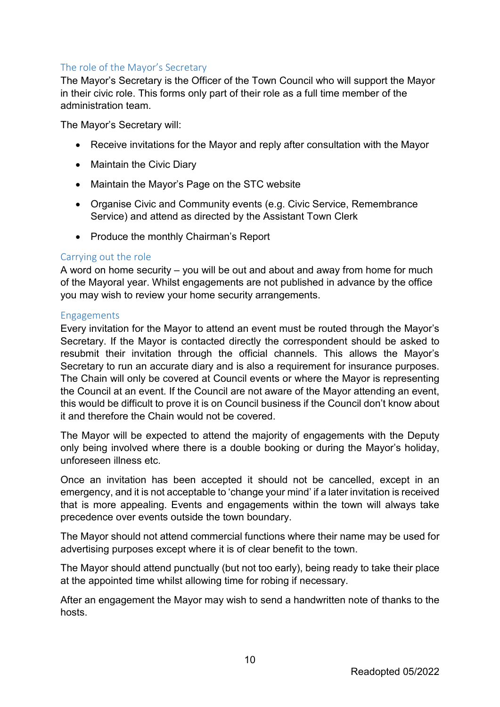#### <span id="page-10-0"></span>The role of the Mayor's Secretary

The Mayor's Secretary is the Officer of the Town Council who will support the Mayor in their civic role. This forms only part of their role as a full time member of the administration team.

The Mayor's Secretary will:

- Receive invitations for the Mayor and reply after consultation with the Mayor
- Maintain the Civic Diary
- Maintain the Mayor's Page on the STC website
- Organise Civic and Community events (e.g. Civic Service, Remembrance Service) and attend as directed by the Assistant Town Clerk
- Produce the monthly Chairman's Report

#### <span id="page-10-1"></span>Carrying out the role

A word on home security – you will be out and about and away from home for much of the Mayoral year. Whilst engagements are not published in advance by the office you may wish to review your home security arrangements.

#### <span id="page-10-2"></span>Engagements

Every invitation for the Mayor to attend an event must be routed through the Mayor's Secretary. If the Mayor is contacted directly the correspondent should be asked to resubmit their invitation through the official channels. This allows the Mayor's Secretary to run an accurate diary and is also a requirement for insurance purposes. The Chain will only be covered at Council events or where the Mayor is representing the Council at an event. If the Council are not aware of the Mayor attending an event, this would be difficult to prove it is on Council business if the Council don't know about it and therefore the Chain would not be covered.

The Mayor will be expected to attend the majority of engagements with the Deputy only being involved where there is a double booking or during the Mayor's holiday, unforeseen illness etc.

Once an invitation has been accepted it should not be cancelled, except in an emergency, and it is not acceptable to 'change your mind' if a later invitation is received that is more appealing. Events and engagements within the town will always take precedence over events outside the town boundary.

The Mayor should not attend commercial functions where their name may be used for advertising purposes except where it is of clear benefit to the town.

The Mayor should attend punctually (but not too early), being ready to take their place at the appointed time whilst allowing time for robing if necessary.

After an engagement the Mayor may wish to send a handwritten note of thanks to the hosts.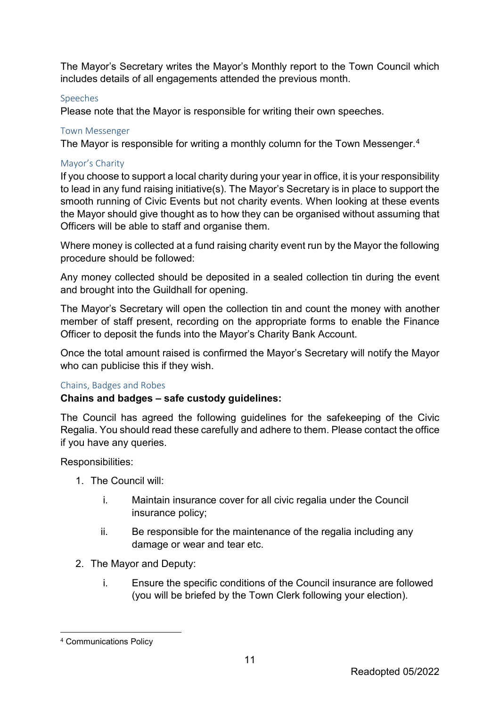The Mayor's Secretary writes the Mayor's Monthly report to the Town Council which includes details of all engagements attended the previous month.

#### <span id="page-11-0"></span>Speeches

Please note that the Mayor is responsible for writing their own speeches.

#### <span id="page-11-1"></span>Town Messenger

The Mayor is responsible for writing a monthly column for the Town Messenger. [4](#page-11-4)

#### <span id="page-11-2"></span>Mayor's Charity

If you choose to support a local charity during your year in office, it is your responsibility to lead in any fund raising initiative(s). The Mayor's Secretary is in place to support the smooth running of Civic Events but not charity events. When looking at these events the Mayor should give thought as to how they can be organised without assuming that Officers will be able to staff and organise them.

Where money is collected at a fund raising charity event run by the Mayor the following procedure should be followed:

Any money collected should be deposited in a sealed collection tin during the event and brought into the Guildhall for opening.

The Mayor's Secretary will open the collection tin and count the money with another member of staff present, recording on the appropriate forms to enable the Finance Officer to deposit the funds into the Mayor's Charity Bank Account.

Once the total amount raised is confirmed the Mayor's Secretary will notify the Mayor who can publicise this if they wish.

#### <span id="page-11-3"></span>Chains, Badges and Robes

#### **Chains and badges – safe custody guidelines:**

The Council has agreed the following guidelines for the safekeeping of the Civic Regalia. You should read these carefully and adhere to them. Please contact the office if you have any queries.

Responsibilities:

- 1. The Council will:
	- i. Maintain insurance cover for all civic regalia under the Council insurance policy;
	- ii. Be responsible for the maintenance of the regalia including any damage or wear and tear etc.
- 2. The Mayor and Deputy:
	- i. Ensure the specific conditions of the Council insurance are followed (you will be briefed by the Town Clerk following your election).

<span id="page-11-4"></span> <sup>4</sup> Communications Policy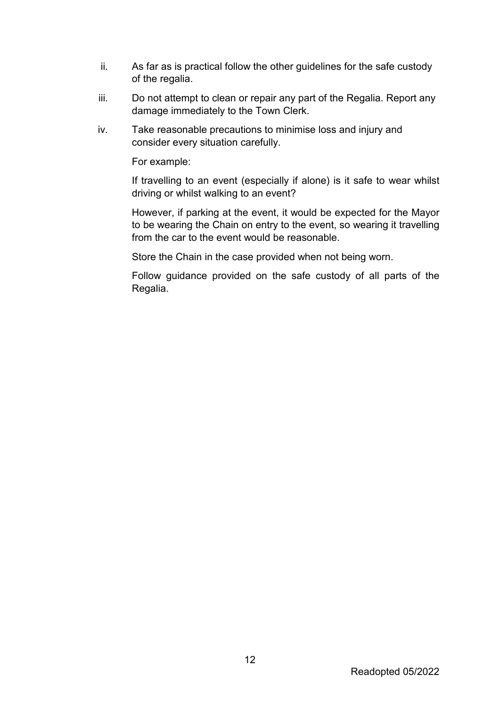- ii. As far as is practical follow the other guidelines for the safe custody of the regalia.
- iii. Do not attempt to clean or repair any part of the Regalia. Report any damage immediately to the Town Clerk.
- iv. Take reasonable precautions to minimise loss and injury and consider every situation carefully.

For example:

If travelling to an event (especially if alone) is it safe to wear whilst driving or whilst walking to an event?

However, if parking at the event, it would be expected for the Mayor to be wearing the Chain on entry to the event, so wearing it travelling from the car to the event would be reasonable.

Store the Chain in the case provided when not being worn.

Follow guidance provided on the safe custody of all parts of the Regalia.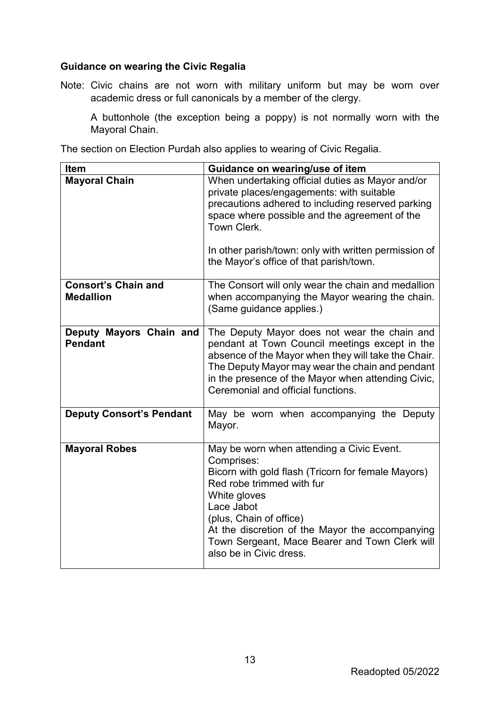#### **Guidance on wearing the Civic Regalia**

Note: Civic chains are not worn with military uniform but may be worn over academic dress or full canonicals by a member of the clergy.

A buttonhole (the exception being a poppy) is not normally worn with the Mayoral Chain.

The section on Election Purdah also applies to wearing of Civic Regalia.

| Item                                           | Guidance on wearing/use of item                                                                                                                                                                                                                                                                                                     |
|------------------------------------------------|-------------------------------------------------------------------------------------------------------------------------------------------------------------------------------------------------------------------------------------------------------------------------------------------------------------------------------------|
| <b>Mayoral Chain</b>                           | When undertaking official duties as Mayor and/or<br>private places/engagements: with suitable<br>precautions adhered to including reserved parking<br>space where possible and the agreement of the<br>Town Clerk.<br>In other parish/town: only with written permission of<br>the Mayor's office of that parish/town.              |
| <b>Consort's Chain and</b><br><b>Medallion</b> | The Consort will only wear the chain and medallion<br>when accompanying the Mayor wearing the chain.<br>(Same guidance applies.)                                                                                                                                                                                                    |
| Deputy Mayors Chain and<br><b>Pendant</b>      | The Deputy Mayor does not wear the chain and<br>pendant at Town Council meetings except in the<br>absence of the Mayor when they will take the Chair.<br>The Deputy Mayor may wear the chain and pendant<br>in the presence of the Mayor when attending Civic,<br>Ceremonial and official functions.                                |
| <b>Deputy Consort's Pendant</b>                | May be worn when accompanying the Deputy<br>Mayor.                                                                                                                                                                                                                                                                                  |
| <b>Mayoral Robes</b>                           | May be worn when attending a Civic Event.<br>Comprises:<br>Bicorn with gold flash (Tricorn for female Mayors)<br>Red robe trimmed with fur<br>White gloves<br>Lace Jabot<br>(plus, Chain of office)<br>At the discretion of the Mayor the accompanying<br>Town Sergeant, Mace Bearer and Town Clerk will<br>also be in Civic dress. |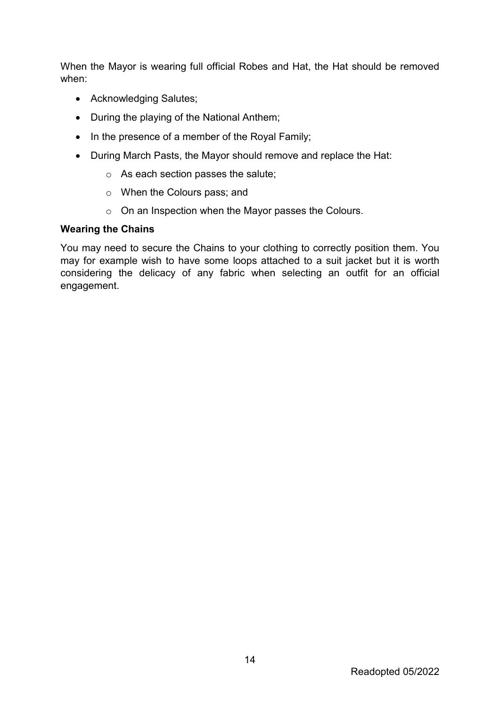When the Mayor is wearing full official Robes and Hat, the Hat should be removed when:

- Acknowledging Salutes;
- During the playing of the National Anthem;
- In the presence of a member of the Royal Family;
- During March Pasts, the Mayor should remove and replace the Hat:
	- o As each section passes the salute;
	- o When the Colours pass; and
	- o On an Inspection when the Mayor passes the Colours.

#### **Wearing the Chains**

You may need to secure the Chains to your clothing to correctly position them. You may for example wish to have some loops attached to a suit jacket but it is worth considering the delicacy of any fabric when selecting an outfit for an official engagement.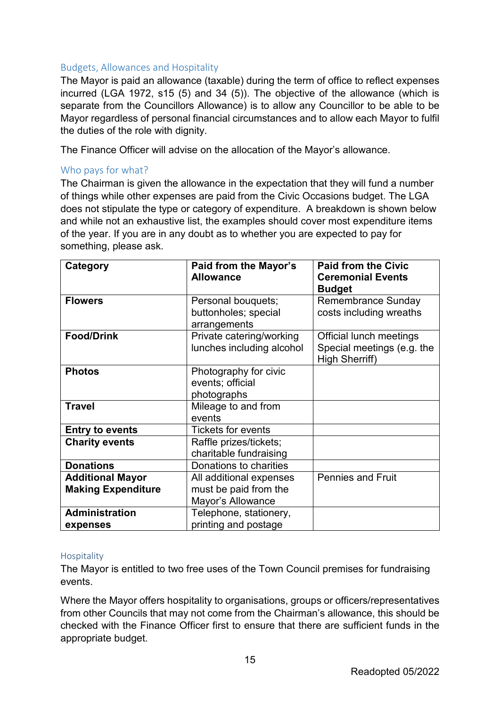#### <span id="page-15-0"></span>Budgets, Allowances and Hospitality

The Mayor is paid an allowance (taxable) during the term of office to reflect expenses incurred (LGA 1972, s15 (5) and 34 (5)). The objective of the allowance (which is separate from the Councillors Allowance) is to allow any Councillor to be able to be Mayor regardless of personal financial circumstances and to allow each Mayor to fulfil the duties of the role with dignity.

The Finance Officer will advise on the allocation of the Mayor's allowance.

#### <span id="page-15-1"></span>Who pays for what?

The Chairman is given the allowance in the expectation that they will fund a number of things while other expenses are paid from the Civic Occasions budget. The LGA does not stipulate the type or category of expenditure. A breakdown is shown below and while not an exhaustive list, the examples should cover most expenditure items of the year. If you are in any doubt as to whether you are expected to pay for something, please ask.

| Category                  | Paid from the Mayor's     | <b>Paid from the Civic</b> |
|---------------------------|---------------------------|----------------------------|
|                           | <b>Allowance</b>          | <b>Ceremonial Events</b>   |
|                           |                           | <b>Budget</b>              |
| <b>Flowers</b>            | Personal bouquets;        | <b>Remembrance Sunday</b>  |
|                           | buttonholes; special      | costs including wreaths    |
|                           | arrangements              |                            |
| <b>Food/Drink</b>         | Private catering/working  | Official lunch meetings    |
|                           | lunches including alcohol | Special meetings (e.g. the |
|                           |                           | High Sherriff)             |
| <b>Photos</b>             | Photography for civic     |                            |
|                           | events; official          |                            |
|                           | photographs               |                            |
| <b>Travel</b>             | Mileage to and from       |                            |
|                           | events                    |                            |
| <b>Entry to events</b>    | <b>Tickets for events</b> |                            |
| <b>Charity events</b>     | Raffle prizes/tickets;    |                            |
|                           | charitable fundraising    |                            |
| <b>Donations</b>          | Donations to charities    |                            |
| <b>Additional Mayor</b>   | All additional expenses   | <b>Pennies and Fruit</b>   |
| <b>Making Expenditure</b> | must be paid from the     |                            |
|                           | Mayor's Allowance         |                            |
| <b>Administration</b>     | Telephone, stationery,    |                            |
| expenses                  | printing and postage      |                            |

#### <span id="page-15-2"></span>Hospitality

The Mayor is entitled to two free uses of the Town Council premises for fundraising events.

Where the Mayor offers hospitality to organisations, groups or officers/representatives from other Councils that may not come from the Chairman's allowance, this should be checked with the Finance Officer first to ensure that there are sufficient funds in the appropriate budget.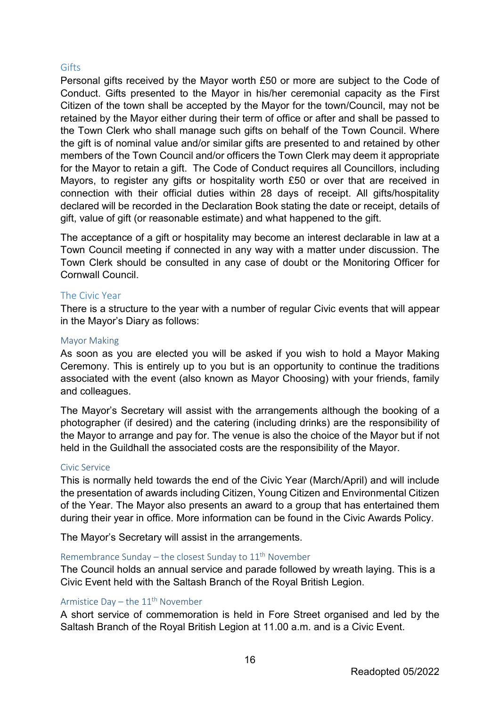#### <span id="page-16-0"></span>Gifts

Personal gifts received by the Mayor worth £50 or more are subject to the Code of Conduct. Gifts presented to the Mayor in his/her ceremonial capacity as the First Citizen of the town shall be accepted by the Mayor for the town/Council, may not be retained by the Mayor either during their term of office or after and shall be passed to the Town Clerk who shall manage such gifts on behalf of the Town Council. Where the gift is of nominal value and/or similar gifts are presented to and retained by other members of the Town Council and/or officers the Town Clerk may deem it appropriate for the Mayor to retain a gift. The Code of Conduct requires all Councillors, including Mayors, to register any gifts or hospitality worth £50 or over that are received in connection with their official duties within 28 days of receipt. All gifts/hospitality declared will be recorded in the Declaration Book stating the date or receipt, details of gift, value of gift (or reasonable estimate) and what happened to the gift.

The acceptance of a gift or hospitality may become an interest declarable in law at a Town Council meeting if connected in any way with a matter under discussion. The Town Clerk should be consulted in any case of doubt or the Monitoring Officer for Cornwall Council.

#### <span id="page-16-1"></span>The Civic Year

There is a structure to the year with a number of regular Civic events that will appear in the Mayor's Diary as follows:

#### <span id="page-16-2"></span>Mayor Making

As soon as you are elected you will be asked if you wish to hold a Mayor Making Ceremony. This is entirely up to you but is an opportunity to continue the traditions associated with the event (also known as Mayor Choosing) with your friends, family and colleagues.

The Mayor's Secretary will assist with the arrangements although the booking of a photographer (if desired) and the catering (including drinks) are the responsibility of the Mayor to arrange and pay for. The venue is also the choice of the Mayor but if not held in the Guildhall the associated costs are the responsibility of the Mayor.

#### <span id="page-16-3"></span>Civic Service

This is normally held towards the end of the Civic Year (March/April) and will include the presentation of awards including Citizen, Young Citizen and Environmental Citizen of the Year. The Mayor also presents an award to a group that has entertained them during their year in office. More information can be found in the Civic Awards Policy.

The Mayor's Secretary will assist in the arrangements.

#### <span id="page-16-4"></span>Remembrance Sunday – the closest Sunday to  $11<sup>th</sup>$  November

The Council holds an annual service and parade followed by wreath laying. This is a Civic Event held with the Saltash Branch of the Royal British Legion.

#### <span id="page-16-5"></span>Armistice Day – the  $11<sup>th</sup>$  November

A short service of commemoration is held in Fore Street organised and led by the Saltash Branch of the Royal British Legion at 11.00 a.m. and is a Civic Event.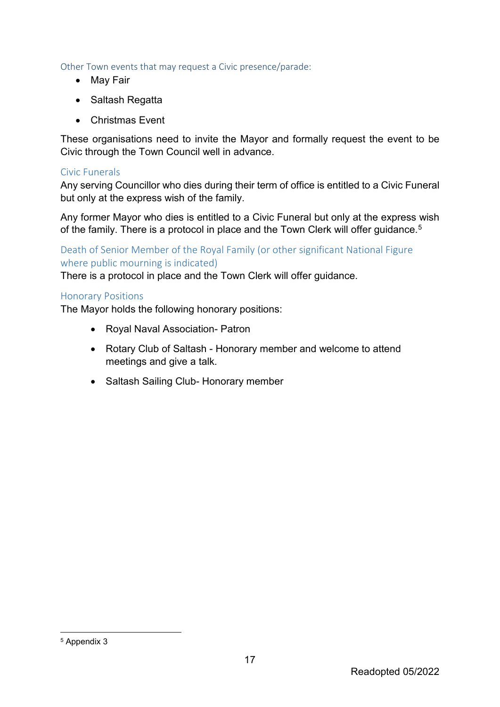<span id="page-17-0"></span>Other Town events that may request a Civic presence/parade:

- May Fair
- Saltash Regatta
- Christmas Event

These organisations need to invite the Mayor and formally request the event to be Civic through the Town Council well in advance.

#### <span id="page-17-1"></span>Civic Funerals

Any serving Councillor who dies during their term of office is entitled to a Civic Funeral but only at the express wish of the family.

Any former Mayor who dies is entitled to a Civic Funeral but only at the express wish of the family. There is a protocol in place and the Town Clerk will offer guidance.<sup>[5](#page-17-4)</sup>

#### <span id="page-17-2"></span>Death of Senior Member of the Royal Family (or other significant National Figure where public mourning is indicated)

There is a protocol in place and the Town Clerk will offer guidance.

#### <span id="page-17-3"></span>Honorary Positions

The Mayor holds the following honorary positions:

- Royal Naval Association- Patron
- Rotary Club of Saltash Honorary member and welcome to attend meetings and give a talk.
- Saltash Sailing Club- Honorary member

<span id="page-17-4"></span>5 Appendix 3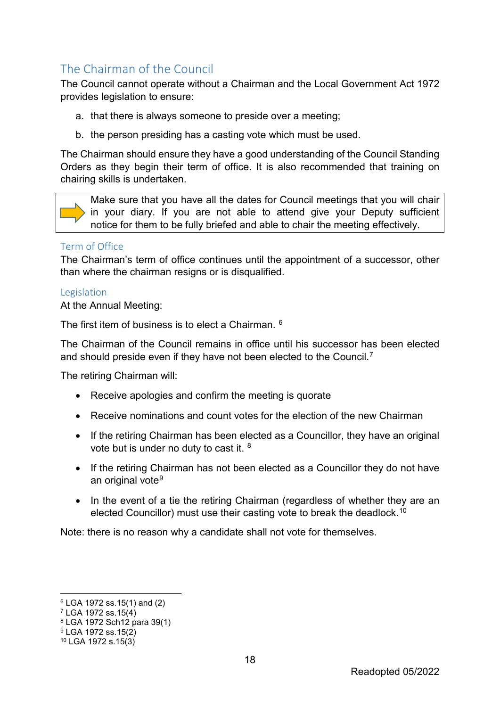# <span id="page-18-0"></span>The Chairman of the Council

The Council cannot operate without a Chairman and the Local Government Act 1972 provides legislation to ensure:

- a. that there is always someone to preside over a meeting;
- b. the person presiding has a casting vote which must be used.

The Chairman should ensure they have a good understanding of the Council Standing Orders as they begin their term of office. It is also recommended that training on chairing skills is undertaken.



#### <span id="page-18-1"></span>Term of Office

The Chairman's term of office continues until the appointment of a successor, other than where the chairman resigns or is disqualified.

#### <span id="page-18-2"></span>Legislation

At the Annual Meeting:

The first item of business is to elect a Chairman. [6](#page-18-3)

The Chairman of the Council remains in office until his successor has been elected and should preside even if they have not been elected to the Council.[7](#page-18-4)

The retiring Chairman will:

- Receive apologies and confirm the meeting is quorate
- Receive nominations and count votes for the election of the new Chairman
- If the retiring Chairman has been elected as a Councillor, they have an original vote but is under no duty to cast it. [8](#page-18-5)
- If the retiring Chairman has not been elected as a Councillor they do not have an original vote<sup>[9](#page-18-6)</sup>
- In the event of a tie the retiring Chairman (regardless of whether they are an elected Councillor) must use their casting vote to break the deadlock.[10](#page-18-7)

Note: there is no reason why a candidate shall not vote for themselves.

-

<span id="page-18-3"></span><sup>6</sup> LGA 1972 ss.15(1) and (2)

<span id="page-18-4"></span> $7$  LGA 1972 ss.15 $(4)$ 

<span id="page-18-5"></span><sup>8</sup> LGA 1972 Sch12 para 39(1)

<span id="page-18-6"></span><sup>9</sup> LGA 1972 ss.15(2)

<span id="page-18-7"></span><sup>10</sup> LGA 1972 s.15(3)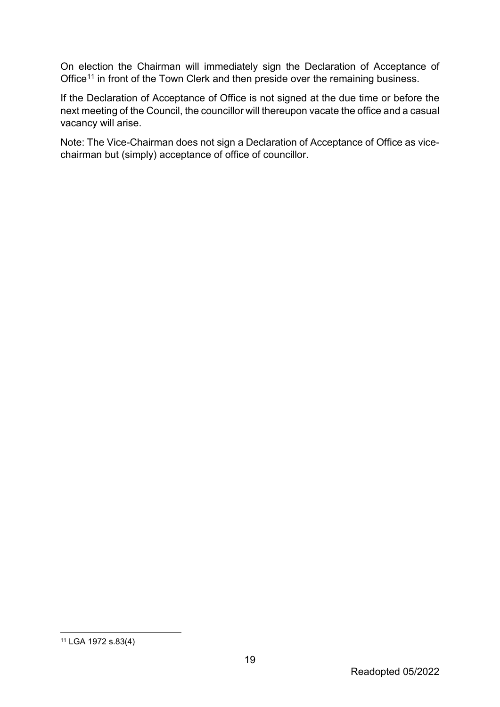On election the Chairman will immediately sign the Declaration of Acceptance of Office<sup>[11](#page-19-0)</sup> in front of the Town Clerk and then preside over the remaining business.

If the Declaration of Acceptance of Office is not signed at the due time or before the next meeting of the Council, the councillor will thereupon vacate the office and a casual vacancy will arise.

Note: The Vice-Chairman does not sign a Declaration of Acceptance of Office as vicechairman but (simply) acceptance of office of councillor.

<span id="page-19-0"></span> <sup>11</sup> LGA 1972 s.83(4)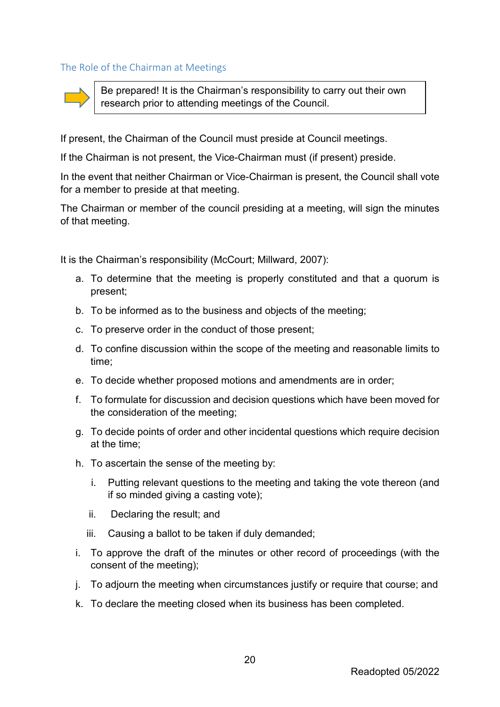<span id="page-20-0"></span>The Role of the Chairman at Meetings



Be prepared! It is the Chairman's responsibility to carry out their own research prior to attending meetings of the Council.

If present, the Chairman of the Council must preside at Council meetings.

If the Chairman is not present, the Vice-Chairman must (if present) preside.

In the event that neither Chairman or Vice-Chairman is present, the Council shall vote for a member to preside at that meeting.

The Chairman or member of the council presiding at a meeting, will sign the minutes of that meeting.

It is the Chairman's responsibility (McCourt; Millward, 2007):

- a. To determine that the meeting is properly constituted and that a quorum is present;
- b. To be informed as to the business and objects of the meeting;
- c. To preserve order in the conduct of those present;
- d. To confine discussion within the scope of the meeting and reasonable limits to time;
- e. To decide whether proposed motions and amendments are in order;
- f. To formulate for discussion and decision questions which have been moved for the consideration of the meeting;
- g. To decide points of order and other incidental questions which require decision at the time;
- h. To ascertain the sense of the meeting by:
	- i. Putting relevant questions to the meeting and taking the vote thereon (and if so minded giving a casting vote);
	- ii. Declaring the result; and
	- iii. Causing a ballot to be taken if duly demanded;
- i. To approve the draft of the minutes or other record of proceedings (with the consent of the meeting);
- j. To adjourn the meeting when circumstances justify or require that course; and
- k. To declare the meeting closed when its business has been completed.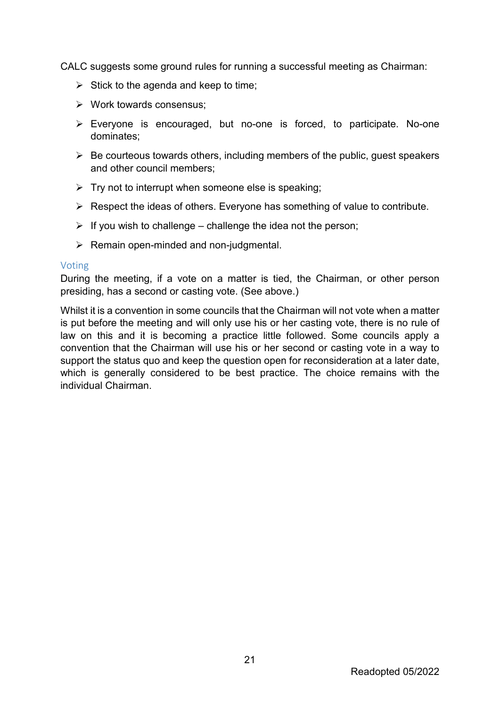CALC suggests some ground rules for running a successful meeting as Chairman:

- $\triangleright$  Stick to the agenda and keep to time;
- Work towards consensus;
- Everyone is encouraged, but no-one is forced, to participate. No-one dominates;
- $\triangleright$  Be courteous towards others, including members of the public, quest speakers and other council members;
- $\triangleright$  Try not to interrupt when someone else is speaking;
- $\triangleright$  Respect the ideas of others. Everyone has something of value to contribute.
- $\triangleright$  If you wish to challenge challenge the idea not the person;
- $\triangleright$  Remain open-minded and non-judgmental.

#### <span id="page-21-0"></span>Voting

During the meeting, if a vote on a matter is tied, the Chairman, or other person presiding, has a second or casting vote. (See above.)

Whilst it is a convention in some councils that the Chairman will not vote when a matter is put before the meeting and will only use his or her casting vote, there is no rule of law on this and it is becoming a practice little followed. Some councils apply a convention that the Chairman will use his or her second or casting vote in a way to support the status quo and keep the question open for reconsideration at a later date, which is generally considered to be best practice. The choice remains with the individual Chairman.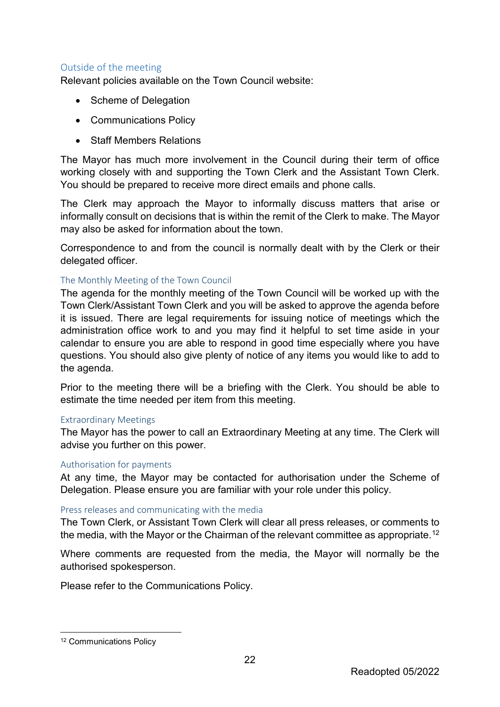#### <span id="page-22-0"></span>Outside of the meeting

Relevant policies available on the Town Council website:

- Scheme of Delegation
- Communications Policy
- Staff Members Relations

The Mayor has much more involvement in the Council during their term of office working closely with and supporting the Town Clerk and the Assistant Town Clerk. You should be prepared to receive more direct emails and phone calls.

The Clerk may approach the Mayor to informally discuss matters that arise or informally consult on decisions that is within the remit of the Clerk to make. The Mayor may also be asked for information about the town.

Correspondence to and from the council is normally dealt with by the Clerk or their delegated officer.

#### <span id="page-22-1"></span>The Monthly Meeting of the Town Council

The agenda for the monthly meeting of the Town Council will be worked up with the Town Clerk/Assistant Town Clerk and you will be asked to approve the agenda before it is issued. There are legal requirements for issuing notice of meetings which the administration office work to and you may find it helpful to set time aside in your calendar to ensure you are able to respond in good time especially where you have questions. You should also give plenty of notice of any items you would like to add to the agenda.

Prior to the meeting there will be a briefing with the Clerk. You should be able to estimate the time needed per item from this meeting.

#### <span id="page-22-2"></span>Extraordinary Meetings

The Mayor has the power to call an Extraordinary Meeting at any time. The Clerk will advise you further on this power.

#### <span id="page-22-3"></span>Authorisation for payments

At any time, the Mayor may be contacted for authorisation under the Scheme of Delegation. Please ensure you are familiar with your role under this policy.

#### <span id="page-22-4"></span>Press releases and communicating with the media

The Town Clerk, or Assistant Town Clerk will clear all press releases, or comments to the media, with the Mayor or the Chairman of the relevant committee as appropriate.<sup>12</sup>

Where comments are requested from the media, the Mayor will normally be the authorised spokesperson.

Please refer to the Communications Policy.

<span id="page-22-5"></span> <sup>12</sup> Communications Policy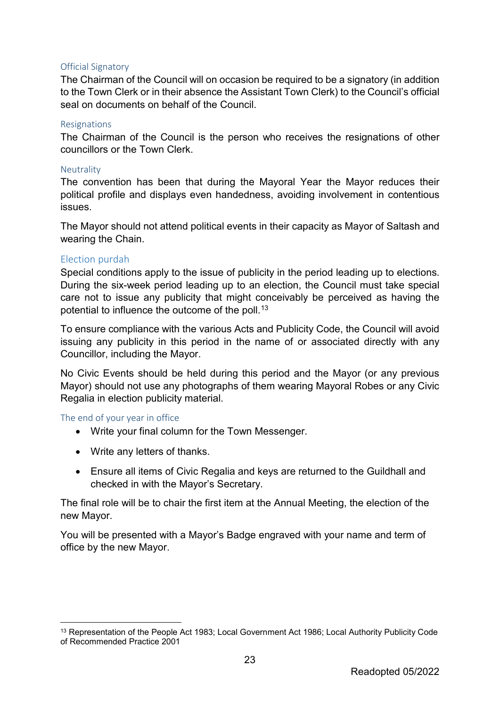#### <span id="page-23-0"></span>Official Signatory

The Chairman of the Council will on occasion be required to be a signatory (in addition to the Town Clerk or in their absence the Assistant Town Clerk) to the Council's official seal on documents on behalf of the Council.

#### <span id="page-23-1"></span>Resignations

The Chairman of the Council is the person who receives the resignations of other councillors or the Town Clerk.

#### <span id="page-23-2"></span>**Neutrality**

The convention has been that during the Mayoral Year the Mayor reduces their political profile and displays even handedness, avoiding involvement in contentious issues.

The Mayor should not attend political events in their capacity as Mayor of Saltash and wearing the Chain.

#### <span id="page-23-3"></span>Election purdah

Special conditions apply to the issue of publicity in the period leading up to elections. During the six-week period leading up to an election, the Council must take special care not to issue any publicity that might conceivably be perceived as having the potential to influence the outcome of the poll.<sup>[13](#page-23-5)</sup>

To ensure compliance with the various Acts and Publicity Code, the Council will avoid issuing any publicity in this period in the name of or associated directly with any Councillor, including the Mayor.

No Civic Events should be held during this period and the Mayor (or any previous Mayor) should not use any photographs of them wearing Mayoral Robes or any Civic Regalia in election publicity material.

#### <span id="page-23-4"></span>The end of your year in office

- Write your final column for the Town Messenger.
- Write any letters of thanks.
- Ensure all items of Civic Regalia and keys are returned to the Guildhall and checked in with the Mayor's Secretary.

The final role will be to chair the first item at the Annual Meeting, the election of the new Mayor.

You will be presented with a Mayor's Badge engraved with your name and term of office by the new Mayor.

<span id="page-23-5"></span> <sup>13</sup> Representation of the People Act 1983; Local Government Act 1986; Local Authority Publicity Code of Recommended Practice 2001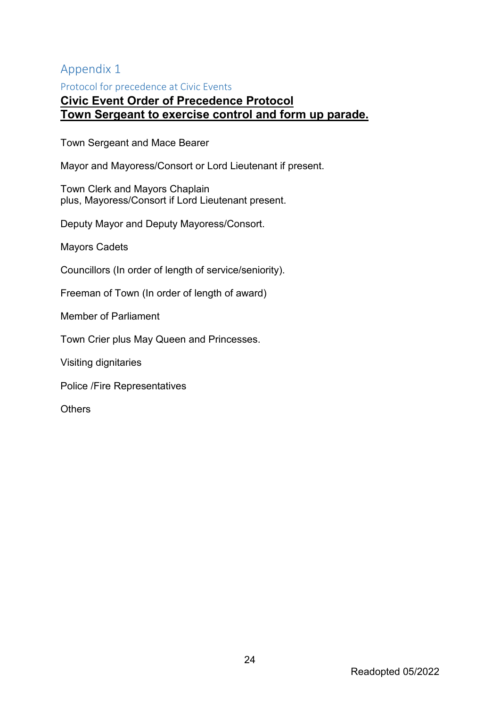# <span id="page-24-0"></span>Appendix 1

<span id="page-24-1"></span>Protocol for precedence at Civic Events

## **Civic Event Order of Precedence Protocol Town Sergeant to exercise control and form up parade.**

Town Sergeant and Mace Bearer

Mayor and Mayoress/Consort or Lord Lieutenant if present.

Town Clerk and Mayors Chaplain plus, Mayoress/Consort if Lord Lieutenant present.

Deputy Mayor and Deputy Mayoress/Consort.

Mayors Cadets

Councillors (In order of length of service/seniority).

Freeman of Town (In order of length of award)

Member of Parliament

Town Crier plus May Queen and Princesses.

Visiting dignitaries

Police /Fire Representatives

**Others**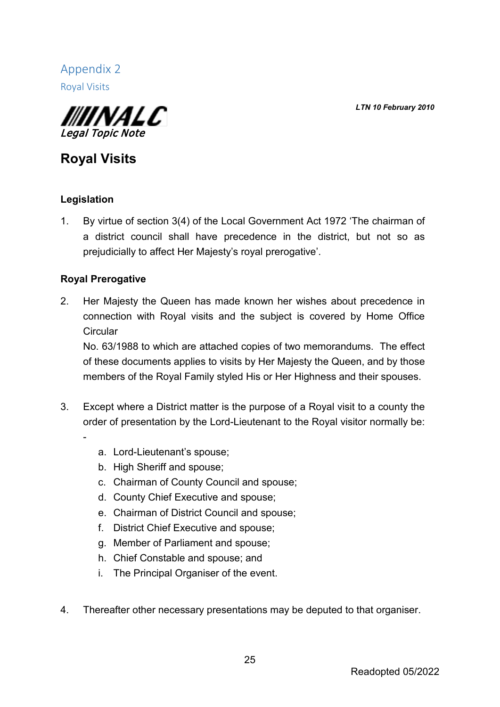*LTN 10 February 2010*

<span id="page-25-1"></span><span id="page-25-0"></span>Appendix 2 Royal Visits



# **Royal Visits**

## **Legislation**

-

1. By virtue of section 3(4) of the Local Government Act 1972 'The chairman of a district council shall have precedence in the district, but not so as prejudicially to affect Her Majesty's royal prerogative'.

## **Royal Prerogative**

2. Her Majesty the Queen has made known her wishes about precedence in connection with Royal visits and the subject is covered by Home Office **Circular** 

No. 63/1988 to which are attached copies of two memorandums. The effect of these documents applies to visits by Her Majesty the Queen, and by those members of the Royal Family styled His or Her Highness and their spouses.

- 3. Except where a District matter is the purpose of a Royal visit to a county the order of presentation by the Lord-Lieutenant to the Royal visitor normally be:
	- a. Lord-Lieutenant's spouse;
	- b. High Sheriff and spouse;
	- c. Chairman of County Council and spouse;
	- d. County Chief Executive and spouse;
	- e. Chairman of District Council and spouse;
	- f. District Chief Executive and spouse;
	- g. Member of Parliament and spouse;
	- h. Chief Constable and spouse; and
	- i. The Principal Organiser of the event.
- 4. Thereafter other necessary presentations may be deputed to that organiser.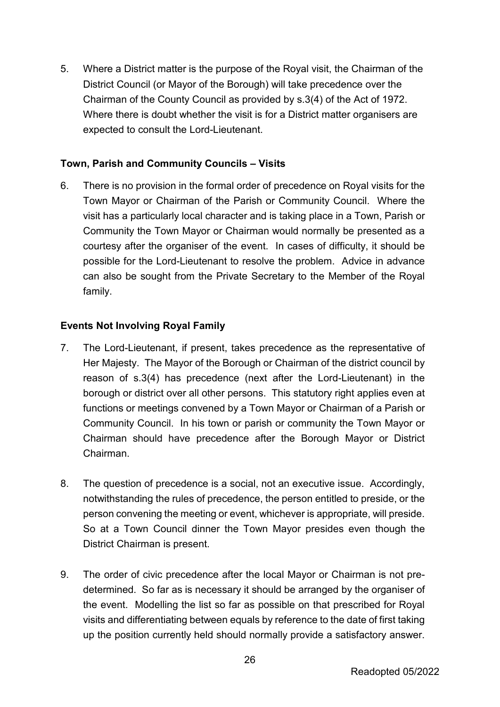5. Where a District matter is the purpose of the Royal visit, the Chairman of the District Council (or Mayor of the Borough) will take precedence over the Chairman of the County Council as provided by s.3(4) of the Act of 1972. Where there is doubt whether the visit is for a District matter organisers are expected to consult the Lord-Lieutenant.

#### **Town, Parish and Community Councils – Visits**

6. There is no provision in the formal order of precedence on Royal visits for the Town Mayor or Chairman of the Parish or Community Council. Where the visit has a particularly local character and is taking place in a Town, Parish or Community the Town Mayor or Chairman would normally be presented as a courtesy after the organiser of the event. In cases of difficulty, it should be possible for the Lord-Lieutenant to resolve the problem. Advice in advance can also be sought from the Private Secretary to the Member of the Royal family.

## **Events Not Involving Royal Family**

- 7. The Lord-Lieutenant, if present, takes precedence as the representative of Her Majesty. The Mayor of the Borough or Chairman of the district council by reason of s.3(4) has precedence (next after the Lord-Lieutenant) in the borough or district over all other persons. This statutory right applies even at functions or meetings convened by a Town Mayor or Chairman of a Parish or Community Council. In his town or parish or community the Town Mayor or Chairman should have precedence after the Borough Mayor or District Chairman.
- 8. The question of precedence is a social, not an executive issue. Accordingly, notwithstanding the rules of precedence, the person entitled to preside, or the person convening the meeting or event, whichever is appropriate, will preside. So at a Town Council dinner the Town Mayor presides even though the District Chairman is present.
- 9. The order of civic precedence after the local Mayor or Chairman is not predetermined. So far as is necessary it should be arranged by the organiser of the event. Modelling the list so far as possible on that prescribed for Royal visits and differentiating between equals by reference to the date of first taking up the position currently held should normally provide a satisfactory answer.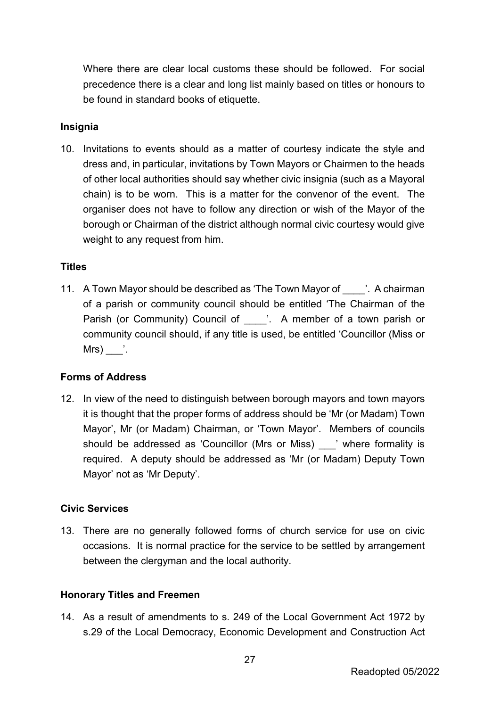Where there are clear local customs these should be followed. For social precedence there is a clear and long list mainly based on titles or honours to be found in standard books of etiquette.

#### **Insignia**

10. Invitations to events should as a matter of courtesy indicate the style and dress and, in particular, invitations by Town Mayors or Chairmen to the heads of other local authorities should say whether civic insignia (such as a Mayoral chain) is to be worn. This is a matter for the convenor of the event. The organiser does not have to follow any direction or wish of the Mayor of the borough or Chairman of the district although normal civic courtesy would give weight to any request from him.

#### **Titles**

11. A Town Mayor should be described as 'The Town Mayor of The A chairman of a parish or community council should be entitled 'The Chairman of the Parish (or Community) Council of [14]. A member of a town parish or community council should, if any title is used, be entitled 'Councillor (Miss or  $Mrs$ )  $\dot{ }$ .

#### **Forms of Address**

12. In view of the need to distinguish between borough mayors and town mayors it is thought that the proper forms of address should be 'Mr (or Madam) Town Mayor', Mr (or Madam) Chairman, or 'Town Mayor'. Members of councils should be addressed as 'Councillor (Mrs or Miss) vhere formality is required. A deputy should be addressed as 'Mr (or Madam) Deputy Town Mayor' not as 'Mr Deputy'.

#### **Civic Services**

13. There are no generally followed forms of church service for use on civic occasions. It is normal practice for the service to be settled by arrangement between the clergyman and the local authority.

#### **Honorary Titles and Freemen**

14. As a result of amendments to s. 249 of the Local Government Act 1972 by s.29 of the Local Democracy, Economic Development and Construction Act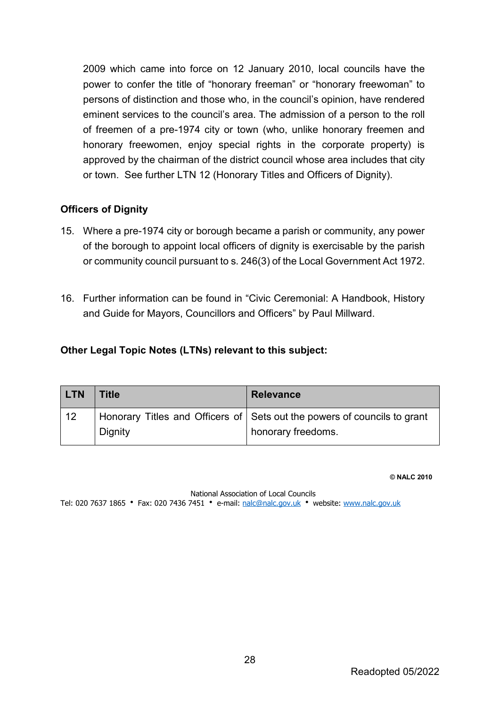2009 which came into force on 12 January 2010, local councils have the power to confer the title of "honorary freeman" or "honorary freewoman" to persons of distinction and those who, in the council's opinion, have rendered eminent services to the council's area. The admission of a person to the roll of freemen of a pre-1974 city or town (who, unlike honorary freemen and honorary freewomen, enjoy special rights in the corporate property) is approved by the chairman of the district council whose area includes that city or town. See further LTN 12 (Honorary Titles and Officers of Dignity).

#### **Officers of Dignity**

- 15. Where a pre-1974 city or borough became a parish or community, any power of the borough to appoint local officers of dignity is exercisable by the parish or community council pursuant to s. 246(3) of the Local Government Act 1972.
- 16. Further information can be found in "Civic Ceremonial: A Handbook, History and Guide for Mayors, Councillors and Officers" by Paul Millward.

#### **Other Legal Topic Notes (LTNs) relevant to this subject:**

| <b>LTN</b> | <b>Title</b>   | <b>Relevance</b>                                                         |
|------------|----------------|--------------------------------------------------------------------------|
| 12         |                | Honorary Titles and Officers of Sets out the powers of councils to grant |
|            | <b>Dignity</b> | honorary freedoms.                                                       |

**© NALC 2010**

National Association of Local Councils Tel: 020 7637 1865 Fax: 020 7436 7451 e-mail: [nalc@nalc.gov.uk](mailto:nalc@nalc.gov.uk) website: [www.nalc.gov.uk](http://www.nalc.gov.uk/)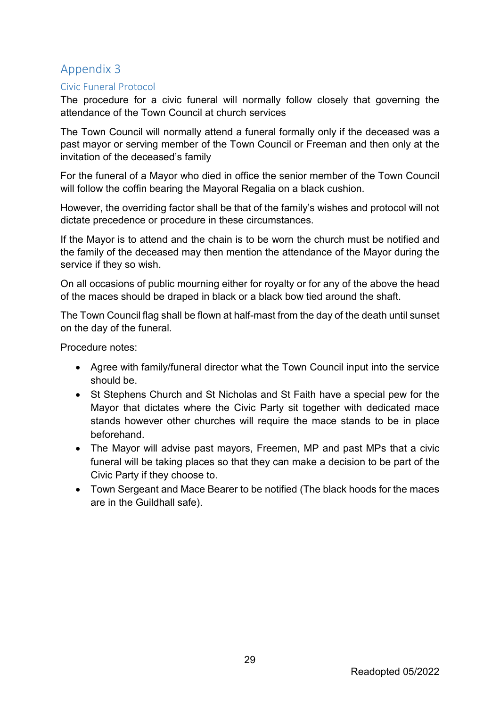# <span id="page-29-0"></span>Appendix 3

#### <span id="page-29-1"></span>Civic Funeral Protocol

The procedure for a civic funeral will normally follow closely that governing the attendance of the Town Council at church services

The Town Council will normally attend a funeral formally only if the deceased was a past mayor or serving member of the Town Council or Freeman and then only at the invitation of the deceased's family

For the funeral of a Mayor who died in office the senior member of the Town Council will follow the coffin bearing the Mayoral Regalia on a black cushion.

However, the overriding factor shall be that of the family's wishes and protocol will not dictate precedence or procedure in these circumstances.

If the Mayor is to attend and the chain is to be worn the church must be notified and the family of the deceased may then mention the attendance of the Mayor during the service if they so wish.

On all occasions of public mourning either for royalty or for any of the above the head of the maces should be draped in black or a black bow tied around the shaft.

The Town Council flag shall be flown at half-mast from the day of the death until sunset on the day of the funeral.

Procedure notes:

- Agree with family/funeral director what the Town Council input into the service should be.
- St Stephens Church and St Nicholas and St Faith have a special pew for the Mayor that dictates where the Civic Party sit together with dedicated mace stands however other churches will require the mace stands to be in place beforehand.
- The Mayor will advise past mayors, Freemen, MP and past MPs that a civic funeral will be taking places so that they can make a decision to be part of the Civic Party if they choose to.
- Town Sergeant and Mace Bearer to be notified (The black hoods for the maces are in the Guildhall safe).